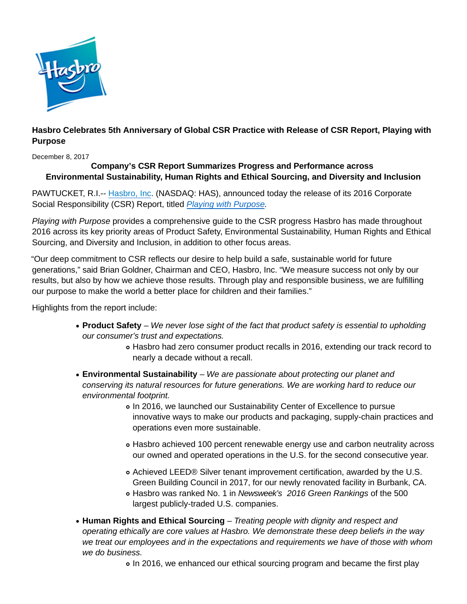

## **Hasbro Celebrates 5th Anniversary of Global CSR Practice with Release of CSR Report, Playing with Purpose**

December 8, 2017

## **Company's CSR Report Summarizes Progress and Performance across Environmental Sustainability, Human Rights and Ethical Sourcing, and Diversity and Inclusion**

PAWTUCKET, R.I.-- [Hasbro, Inc.](http://cts.businesswire.com/ct/CT?id=smartlink&url=http%3A%2F%2Fwww.hasbro.com%2F&esheet=51544271&newsitemid=20170420006182&lan=en-US&anchor=Hasbro%2C+Inc&index=1&md5=4111c74b62e810bd7e6a7c0657f1904f) (NASDAQ: HAS), announced today the release of its 2016 Corporate Social Responsibility (CSR) Report, titled [Playing with Purpose.](https://csr.hasbro.com/downloads/CSR_2016_Report.pdf)

Playing with Purpose provides a comprehensive quide to the CSR progress Hasbro has made throughout 2016 across its key priority areas of Product Safety, Environmental Sustainability, Human Rights and Ethical Sourcing, and Diversity and Inclusion, in addition to other focus areas.

"Our deep commitment to CSR reflects our desire to help build a safe, sustainable world for future generations," said Brian Goldner, Chairman and CEO, Hasbro, Inc. "We measure success not only by our results, but also by how we achieve those results. Through play and responsible business, we are fulfilling our purpose to make the world a better place for children and their families."

Highlights from the report include:

- **Product Safety** We never lose sight of the fact that product safety is essential to upholding our consumer's trust and expectations.
	- Hasbro had zero consumer product recalls in 2016, extending our track record to nearly a decade without a recall.
- **Environmental Sustainability** We are passionate about protecting our planet and conserving its natural resources for future generations. We are working hard to reduce our environmental footprint.
	- In 2016, we launched our Sustainability Center of Excellence to pursue innovative ways to make our products and packaging, supply-chain practices and operations even more sustainable.
	- Hasbro achieved 100 percent renewable energy use and carbon neutrality across our owned and operated operations in the U.S. for the second consecutive year.
	- Achieved LEED® Silver tenant improvement certification, awarded by the U.S. Green Building Council in 2017, for our newly renovated facility in Burbank, CA.
	- o Hasbro was ranked No. 1 in Newsweek's 2016 Green Rankings of the 500 largest publicly-traded U.S. companies.
- **Human Rights and Ethical Sourcing** Treating people with dignity and respect and operating ethically are core values at Hasbro. We demonstrate these deep beliefs in the way we treat our employees and in the expectations and requirements we have of those with whom we do business.

In 2016, we enhanced our ethical sourcing program and became the first play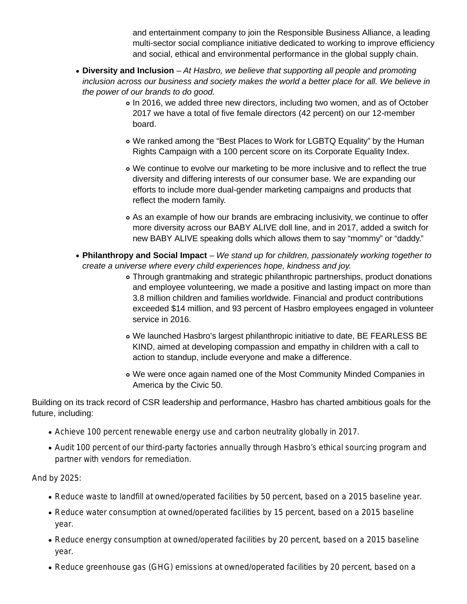and entertainment company to join the Responsible Business Alliance, a leading multi-sector social compliance initiative dedicated to working to improve efficiency and social, ethical and environmental performance in the global supply chain.

- **Diversity and Inclusion** At Hasbro, we believe that supporting all people and promoting inclusion across our business and society makes the world a better place for all. We believe in the power of our brands to do good.
	- In 2016, we added three new directors, including two women, and as of October 2017 we have a total of five female directors (42 percent) on our 12-member board.
	- We ranked among the "Best Places to Work for LGBTQ Equality" by the Human Rights Campaign with a 100 percent score on its Corporate Equality Index.
	- We continue to evolve our marketing to be more inclusive and to reflect the true diversity and differing interests of our consumer base. We are expanding our efforts to include more dual-gender marketing campaigns and products that reflect the modern family.
	- As an example of how our brands are embracing inclusivity, we continue to offer more diversity across our BABY ALIVE doll line, and in 2017, added a switch for new BABY ALIVE speaking dolls which allows them to say "mommy" or "daddy."
- **Philanthropy and Social Impact** We stand up for children, passionately working together to create a universe where every child experiences hope, kindness and joy.
	- Through grantmaking and strategic philanthropic partnerships, product donations and employee volunteering, we made a positive and lasting impact on more than 3.8 million children and families worldwide. Financial and product contributions exceeded \$14 million, and 93 percent of Hasbro employees engaged in volunteer service in 2016.
	- We launched Hasbro's largest philanthropic initiative to date, BE FEARLESS BE KIND, aimed at developing compassion and empathy in children with a call to action to standup, include everyone and make a difference.
	- We were once again named one of the Most Community Minded Companies in America by the Civic 50.

Building on its track record of CSR leadership and performance, Hasbro has charted ambitious goals for the future, including:

- Achieve 100 percent renewable energy use and carbon neutrality globally in 2017.
- Audit 100 percent of our third-party factories annually through Hasbro's ethical sourcing program and partner with vendors for remediation.

And by 2025:

- Reduce waste to landfill at owned/operated facilities by 50 percent, based on a 2015 baseline year.
- Reduce water consumption at owned/operated facilities by 15 percent, based on a 2015 baseline year.
- Reduce energy consumption at owned/operated facilities by 20 percent, based on a 2015 baseline year.
- Reduce greenhouse gas (GHG) emissions at owned/operated facilities by 20 percent, based on a